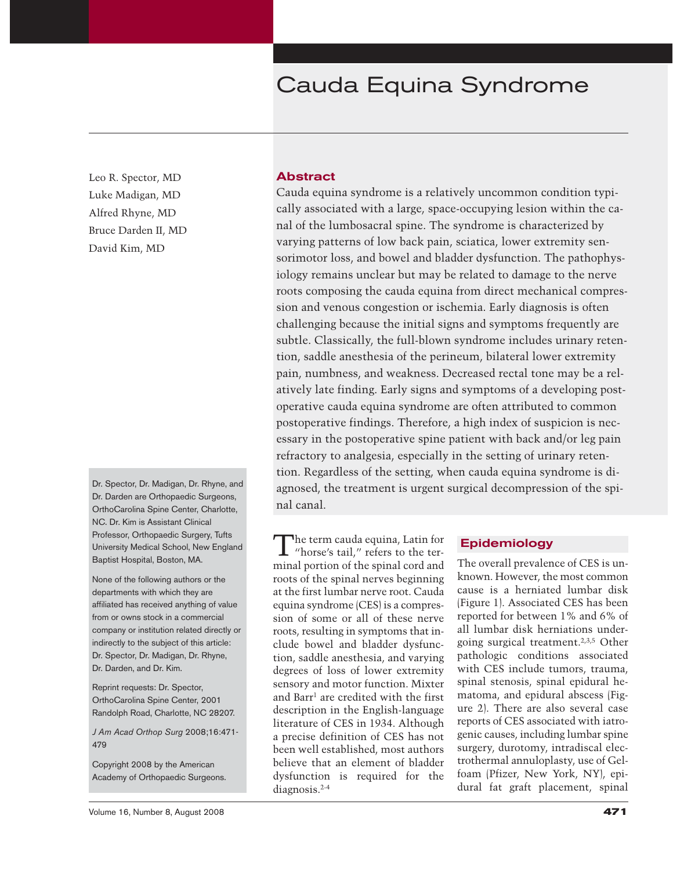## Cauda Equina Syndrome

Leo R. Spector, MD Luke Madigan, MD Alfred Rhyne, MD Bruce Darden II, MD David Kim, MD

Dr. Spector, Dr. Madigan, Dr. Rhyne, and Dr. Darden are Orthopaedic Surgeons, OrthoCarolina Spine Center, Charlotte, NC. Dr. Kim is Assistant Clinical Professor, Orthopaedic Surgery, Tufts University Medical School, New England Baptist Hospital, Boston, MA.

None of the following authors or the departments with which they are affiliated has received anything of value from or owns stock in a commercial company or institution related directly or indirectly to the subject of this article: Dr. Spector, Dr. Madigan, Dr. Rhyne, Dr. Darden, and Dr. Kim.

Reprint requests: Dr. Spector, OrthoCarolina Spine Center, 2001 Randolph Road, Charlotte, NC 28207.

*J Am Acad Orthop Surg* 2008;16:471- 479

Copyright 2008 by the American Academy of Orthopaedic Surgeons.

## **Abstract**

Cauda equina syndrome is a relatively uncommon condition typically associated with a large, space-occupying lesion within the canal of the lumbosacral spine. The syndrome is characterized by varying patterns of low back pain, sciatica, lower extremity sensorimotor loss, and bowel and bladder dysfunction. The pathophysiology remains unclear but may be related to damage to the nerve roots composing the cauda equina from direct mechanical compression and venous congestion or ischemia. Early diagnosis is often challenging because the initial signs and symptoms frequently are subtle. Classically, the full-blown syndrome includes urinary retention, saddle anesthesia of the perineum, bilateral lower extremity pain, numbness, and weakness. Decreased rectal tone may be a relatively late finding. Early signs and symptoms of a developing postoperative cauda equina syndrome are often attributed to common postoperative findings. Therefore, a high index of suspicion is necessary in the postoperative spine patient with back and/or leg pain refractory to analgesia, especially in the setting of urinary retention. Regardless of the setting, when cauda equina syndrome is diagnosed, the treatment is urgent surgical decompression of the spinal canal.

The term cauda equina, Latin for "horse's tail," refers to the terminal portion of the spinal cord and roots of the spinal nerves beginning at the first lumbar nerve root. Cauda equina syndrome (CES) is a compression of some or all of these nerve roots, resulting in symptoms that include bowel and bladder dysfunction, saddle anesthesia, and varying degrees of loss of lower extremity sensory and motor function. Mixter and Barr<sup>1</sup> are credited with the first description in the English-language literature of CES in 1934. Although a precise definition of CES has not been well established, most authors believe that an element of bladder dysfunction is required for the diagnosis.2-4

## **Epidemiology**

The overall prevalence of CES is unknown. However, the most common cause is a herniated lumbar disk (Figure 1). Associated CES has been reported for between 1% and 6% of all lumbar disk herniations undergoing surgical treatment.2,3,5 Other pathologic conditions associated with CES include tumors, trauma, spinal stenosis, spinal epidural hematoma, and epidural abscess (Figure 2). There are also several case reports of CES associated with iatrogenic causes, including lumbar spine surgery, durotomy, intradiscal electrothermal annuloplasty, use of Gelfoam (Pfizer, New York, NY), epidural fat graft placement, spinal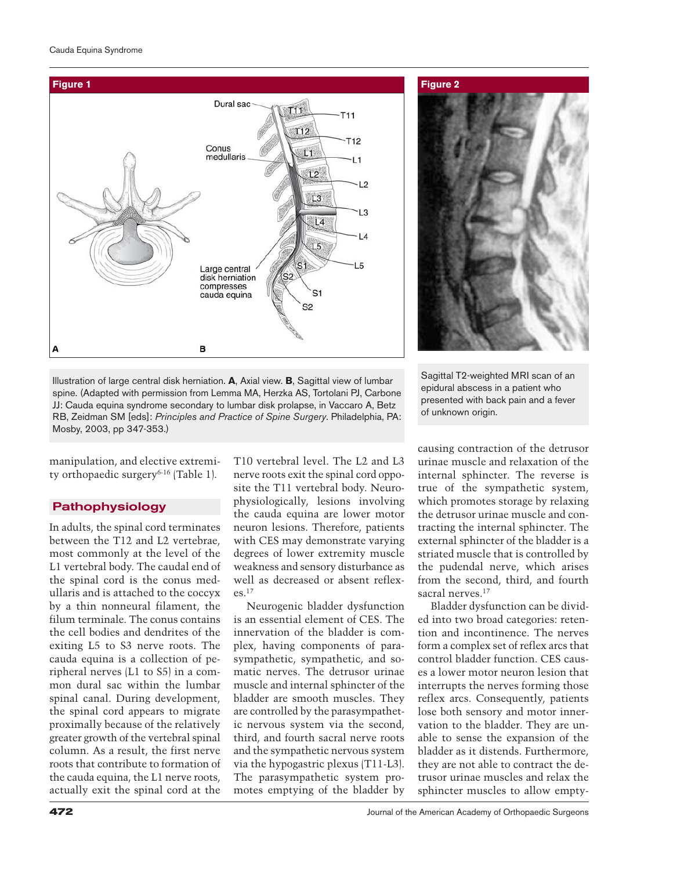

**Figure 2**

Illustration of large central disk herniation. **A**, Axial view. **B**, Sagittal view of lumbar spine. (Adapted with permission from Lemma MA, Herzka AS, Tortolani PJ, Carbone JJ: Cauda equina syndrome secondary to lumbar disk prolapse, in Vaccaro A, Betz RB, Zeidman SM [eds]: *Principles and Practice of Spine Surgery*. Philadelphia, PA: Mosby, 2003, pp 347-353.)

Sagittal T2-weighted MRI scan of an epidural abscess in a patient who presented with back pain and a fever of unknown origin.

manipulation, and elective extremity orthopaedic surgery6-16 (Table 1).

## **Pathophysiology**

In adults, the spinal cord terminates between the T12 and L2 vertebrae, most commonly at the level of the L1 vertebral body. The caudal end of the spinal cord is the conus medullaris and is attached to the coccyx by a thin nonneural filament, the filum terminale. The conus contains the cell bodies and dendrites of the exiting L5 to S3 nerve roots. The cauda equina is a collection of peripheral nerves (L1 to S5) in a common dural sac within the lumbar spinal canal. During development, the spinal cord appears to migrate proximally because of the relatively greater growth of the vertebral spinal column. As a result, the first nerve roots that contribute to formation of the cauda equina, the L1 nerve roots, actually exit the spinal cord at the

T10 vertebral level. The L2 and L3 nerve roots exit the spinal cord opposite the T11 vertebral body. Neurophysiologically, lesions involving the cauda equina are lower motor neuron lesions. Therefore, patients with CES may demonstrate varying degrees of lower extremity muscle weakness and sensory disturbance as well as decreased or absent reflex $es<sup>17</sup>$ 

Neurogenic bladder dysfunction is an essential element of CES. The innervation of the bladder is complex, having components of parasympathetic, sympathetic, and somatic nerves. The detrusor urinae muscle and internal sphincter of the bladder are smooth muscles. They are controlled by the parasympathetic nervous system via the second, third, and fourth sacral nerve roots and the sympathetic nervous system via the hypogastric plexus (T11-L3). The parasympathetic system promotes emptying of the bladder by

causing contraction of the detrusor urinae muscle and relaxation of the internal sphincter. The reverse is true of the sympathetic system, which promotes storage by relaxing the detrusor urinae muscle and contracting the internal sphincter. The external sphincter of the bladder is a striated muscle that is controlled by the pudendal nerve, which arises from the second, third, and fourth sacral nerves.<sup>17</sup>

Bladder dysfunction can be divided into two broad categories: retention and incontinence. The nerves form a complex set of reflex arcs that control bladder function. CES causes a lower motor neuron lesion that interrupts the nerves forming those reflex arcs. Consequently, patients lose both sensory and motor innervation to the bladder. They are unable to sense the expansion of the bladder as it distends. Furthermore, they are not able to contract the detrusor urinae muscles and relax the sphincter muscles to allow empty-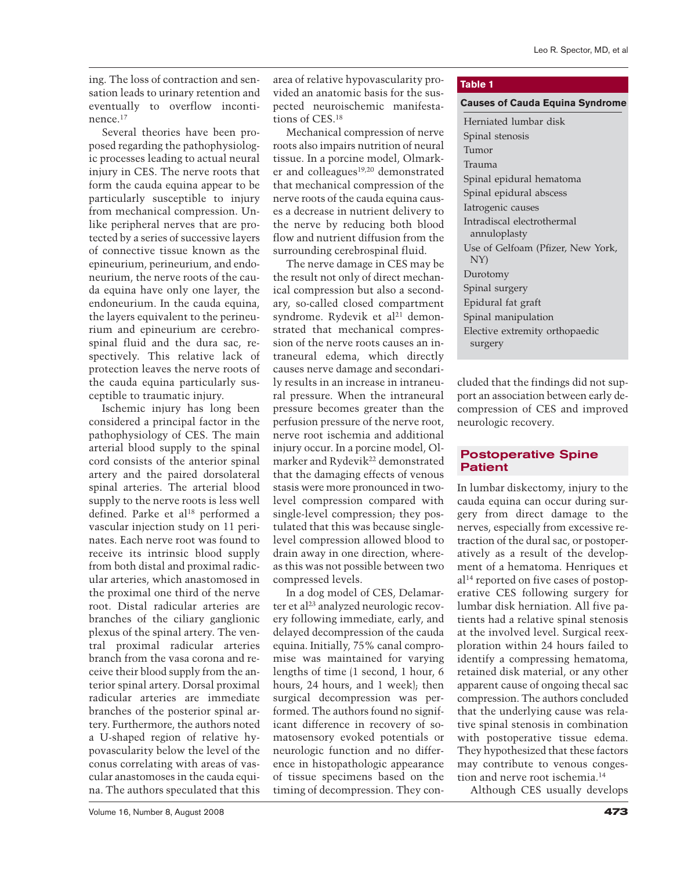ing. The loss of contraction and sensation leads to urinary retention and eventually to overflow incontinence.17

Several theories have been proposed regarding the pathophysiologic processes leading to actual neural injury in CES. The nerve roots that form the cauda equina appear to be particularly susceptible to injury from mechanical compression. Unlike peripheral nerves that are protected by a series of successive layers of connective tissue known as the epineurium, perineurium, and endoneurium, the nerve roots of the cauda equina have only one layer, the endoneurium. In the cauda equina, the layers equivalent to the perineurium and epineurium are cerebrospinal fluid and the dura sac, respectively. This relative lack of protection leaves the nerve roots of the cauda equina particularly susceptible to traumatic injury.

Ischemic injury has long been considered a principal factor in the pathophysiology of CES. The main arterial blood supply to the spinal cord consists of the anterior spinal artery and the paired dorsolateral spinal arteries. The arterial blood supply to the nerve roots is less well defined. Parke et al<sup>18</sup> performed a vascular injection study on 11 perinates. Each nerve root was found to receive its intrinsic blood supply from both distal and proximal radicular arteries, which anastomosed in the proximal one third of the nerve root. Distal radicular arteries are branches of the ciliary ganglionic plexus of the spinal artery. The ventral proximal radicular arteries branch from the vasa corona and receive their blood supply from the anterior spinal artery. Dorsal proximal radicular arteries are immediate branches of the posterior spinal artery. Furthermore, the authors noted a U-shaped region of relative hypovascularity below the level of the conus correlating with areas of vascular anastomoses in the cauda equina. The authors speculated that this roots also impairs nutrition of neural tissue. In a porcine model, Olmarker and colleagues<sup>19,20</sup> demonstrated that mechanical compression of the nerve roots of the cauda equina causes a decrease in nutrient delivery to the nerve by reducing both blood flow and nutrient diffusion from the surrounding cerebrospinal fluid.

area of relative hypovascularity pro-

The nerve damage in CES may be the result not only of direct mechanical compression but also a secondary, so-called closed compartment syndrome. Rydevik et al<sup>21</sup> demonstrated that mechanical compression of the nerve roots causes an intraneural edema, which directly causes nerve damage and secondarily results in an increase in intraneural pressure. When the intraneural pressure becomes greater than the perfusion pressure of the nerve root, nerve root ischemia and additional injury occur. In a porcine model, Olmarker and Rydevik<sup>22</sup> demonstrated that the damaging effects of venous stasis were more pronounced in twolevel compression compared with single-level compression; they postulated that this was because singlelevel compression allowed blood to drain away in one direction, whereas this was not possible between two compressed levels.

In a dog model of CES, Delamarter et al<sup>23</sup> analyzed neurologic recovery following immediate, early, and delayed decompression of the cauda equina. Initially, 75% canal compromise was maintained for varying lengths of time (1 second, 1 hour, 6 hours, 24 hours, and 1 week); then surgical decompression was performed. The authors found no significant difference in recovery of somatosensory evoked potentials or neurologic function and no difference in histopathologic appearance of tissue specimens based on the timing of decompression. They con-

## **Table 1**

#### **Causes of Cauda Equina Syndrome**

| Herniated lumbar disk             |  |  |
|-----------------------------------|--|--|
| Spinal stenosis                   |  |  |
| Tumor                             |  |  |
| Trauma                            |  |  |
| Spinal epidural hematoma          |  |  |
| Spinal epidural abscess           |  |  |
| Iatrogenic causes                 |  |  |
| Intradiscal electrothermal        |  |  |
| annuloplasty                      |  |  |
| Use of Gelfoam (Pfizer, New York, |  |  |
| NY)                               |  |  |
| Durotomy                          |  |  |
| Spinal surgery                    |  |  |
| Epidural fat graft                |  |  |
| Spinal manipulation               |  |  |
| Elective extremity orthopaedic    |  |  |
| surgery                           |  |  |

cluded that the findings did not support an association between early decompression of CES and improved neurologic recovery.

## **Postoperative Spine Patient**

In lumbar diskectomy, injury to the cauda equina can occur during surgery from direct damage to the nerves, especially from excessive retraction of the dural sac, or postoperatively as a result of the development of a hematoma. Henriques et al14 reported on five cases of postoperative CES following surgery for lumbar disk herniation. All five patients had a relative spinal stenosis at the involved level. Surgical reexploration within 24 hours failed to identify a compressing hematoma, retained disk material, or any other apparent cause of ongoing thecal sac compression. The authors concluded that the underlying cause was relative spinal stenosis in combination with postoperative tissue edema. They hypothesized that these factors may contribute to venous congestion and nerve root ischemia.<sup>14</sup>

Although CES usually develops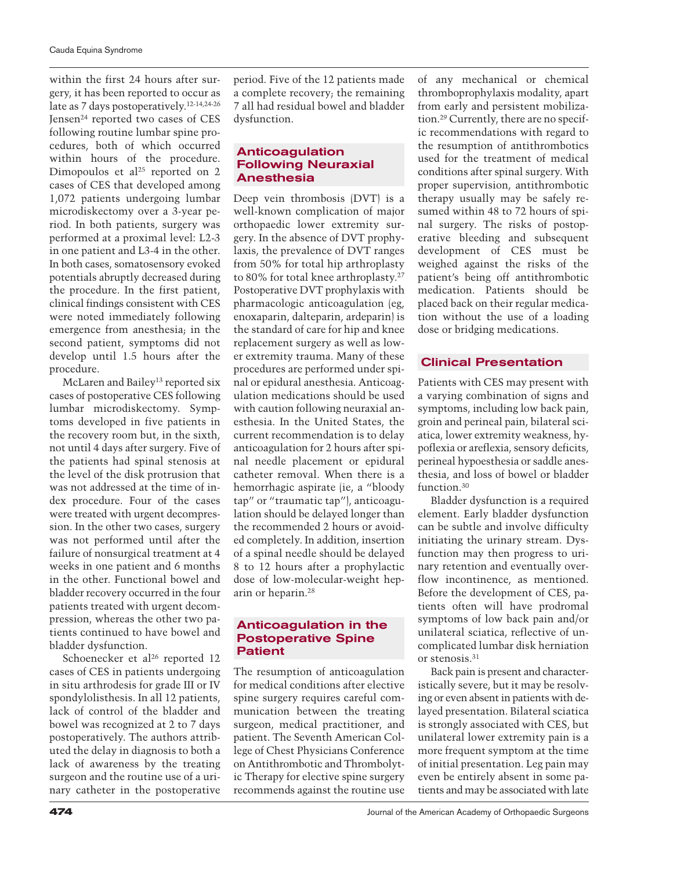within the first 24 hours after surgery, it has been reported to occur as late as 7 days postoperatively.12-14,24-26 Jensen24 reported two cases of CES following routine lumbar spine procedures, both of which occurred within hours of the procedure. Dimopoulos et al<sup>25</sup> reported on 2 cases of CES that developed among 1,072 patients undergoing lumbar microdiskectomy over a 3-year period. In both patients, surgery was performed at a proximal level: L2-3 in one patient and L3-4 in the other. In both cases, somatosensory evoked potentials abruptly decreased during the procedure. In the first patient, clinical findings consistent with CES were noted immediately following emergence from anesthesia; in the second patient, symptoms did not develop until 1.5 hours after the procedure.

McLaren and Bailey<sup>13</sup> reported six cases of postoperative CES following lumbar microdiskectomy. Symptoms developed in five patients in the recovery room but, in the sixth, not until 4 days after surgery. Five of the patients had spinal stenosis at the level of the disk protrusion that was not addressed at the time of index procedure. Four of the cases were treated with urgent decompression. In the other two cases, surgery was not performed until after the failure of nonsurgical treatment at 4 weeks in one patient and 6 months in the other. Functional bowel and bladder recovery occurred in the four patients treated with urgent decompression, whereas the other two patients continued to have bowel and bladder dysfunction.

Schoenecker et al<sup>26</sup> reported 12 cases of CES in patients undergoing in situ arthrodesis for grade III or IV spondylolisthesis. In all 12 patients, lack of control of the bladder and bowel was recognized at 2 to 7 days postoperatively. The authors attributed the delay in diagnosis to both a lack of awareness by the treating surgeon and the routine use of a urinary catheter in the postoperative

period. Five of the 12 patients made a complete recovery; the remaining 7 all had residual bowel and bladder dysfunction.

## **Anticoagulation Following Neuraxial Anesthesia**

Deep vein thrombosis (DVT) is a well-known complication of major orthopaedic lower extremity surgery. In the absence of DVT prophylaxis, the prevalence of DVT ranges from 50% for total hip arthroplasty to 80% for total knee arthroplasty.27 Postoperative DVT prophylaxis with pharmacologic anticoagulation (eg, enoxaparin, dalteparin, ardeparin) is the standard of care for hip and knee replacement surgery as well as lower extremity trauma. Many of these procedures are performed under spinal or epidural anesthesia. Anticoagulation medications should be used with caution following neuraxial anesthesia. In the United States, the current recommendation is to delay anticoagulation for 2 hours after spinal needle placement or epidural catheter removal. When there is a hemorrhagic aspirate (ie, a "bloody tap" or "traumatic tap"), anticoagulation should be delayed longer than the recommended 2 hours or avoided completely. In addition, insertion of a spinal needle should be delayed 8 to 12 hours after a prophylactic dose of low-molecular-weight heparin or heparin.28

## **Anticoagulation in the Postoperative Spine Patient**

The resumption of anticoagulation for medical conditions after elective spine surgery requires careful communication between the treating surgeon, medical practitioner, and patient. The Seventh American College of Chest Physicians Conference on Antithrombotic and Thrombolytic Therapy for elective spine surgery recommends against the routine use

of any mechanical or chemical thromboprophylaxis modality, apart from early and persistent mobilization.29 Currently, there are no specific recommendations with regard to the resumption of antithrombotics used for the treatment of medical conditions after spinal surgery. With proper supervision, antithrombotic therapy usually may be safely resumed within 48 to 72 hours of spinal surgery. The risks of postoperative bleeding and subsequent development of CES must be weighed against the risks of the patient's being off antithrombotic medication. Patients should be placed back on their regular medication without the use of a loading dose or bridging medications.

## **Clinical Presentation**

Patients with CES may present with a varying combination of signs and symptoms, including low back pain, groin and perineal pain, bilateral sciatica, lower extremity weakness, hypoflexia or areflexia, sensory deficits, perineal hypoesthesia or saddle anesthesia, and loss of bowel or bladder function.30

Bladder dysfunction is a required element. Early bladder dysfunction can be subtle and involve difficulty initiating the urinary stream. Dysfunction may then progress to urinary retention and eventually overflow incontinence, as mentioned. Before the development of CES, patients often will have prodromal symptoms of low back pain and/or unilateral sciatica, reflective of uncomplicated lumbar disk herniation or stenosis.<sup>31</sup>

Back pain is present and characteristically severe, but it may be resolving or even absent in patients with delayed presentation. Bilateral sciatica is strongly associated with CES, but unilateral lower extremity pain is a more frequent symptom at the time of initial presentation. Leg pain may even be entirely absent in some patients and may be associated with late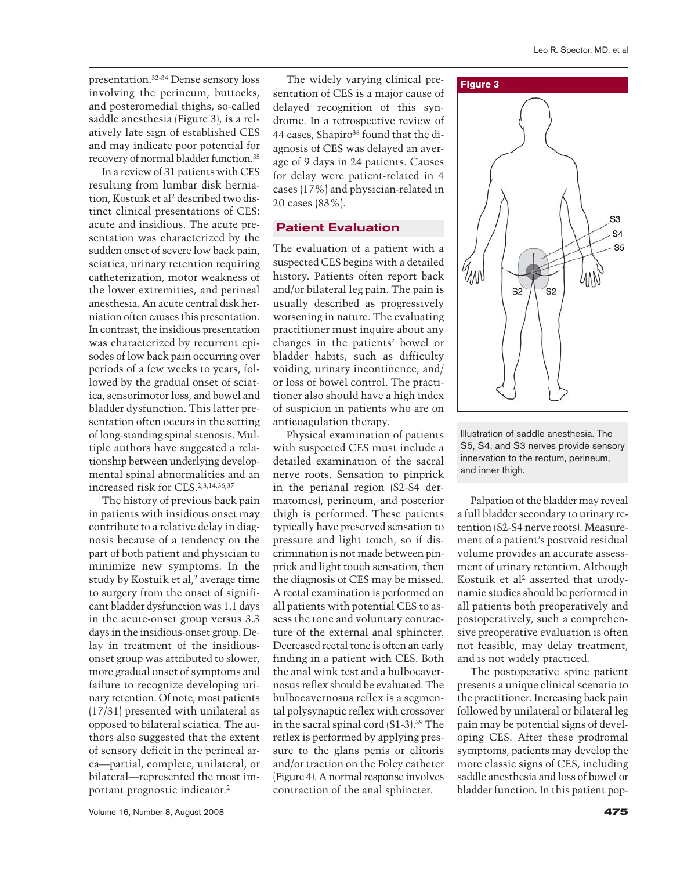presentation.32-34 Dense sensory loss involving the perineum, buttocks, and posteromedial thighs, so-called saddle anesthesia (Figure 3), is a relatively late sign of established CES and may indicate poor potential for recovery of normal bladder function.35

In a review of 31 patients with CES resulting from lumbar disk herniation, Kostuik et al<sup>2</sup> described two distinct clinical presentations of CES: acute and insidious. The acute presentation was characterized by the sudden onset of severe low back pain, sciatica, urinary retention requiring catheterization, motor weakness of the lower extremities, and perineal anesthesia. An acute central disk herniation often causes this presentation. In contrast, the insidious presentation was characterized by recurrent episodes of low back pain occurring over periods of a few weeks to years, followed by the gradual onset of sciatica, sensorimotor loss, and bowel and bladder dysfunction. This latter presentation often occurs in the setting of long-standing spinal stenosis. Multiple authors have suggested a relationship between underlying developmental spinal abnormalities and an increased risk for CES.2,3,14,36,37

The history of previous back pain in patients with insidious onset may contribute to a relative delay in diagnosis because of a tendency on the part of both patient and physician to minimize new symptoms. In the study by Kostuik et al,<sup>2</sup> average time to surgery from the onset of significant bladder dysfunction was 1.1 days in the acute-onset group versus 3.3 days in the insidious-onset group. Delay in treatment of the insidiousonset group was attributed to slower, more gradual onset of symptoms and failure to recognize developing urinary retention. Of note, most patients (17/31) presented with unilateral as opposed to bilateral sciatica. The authors also suggested that the extent of sensory deficit in the perineal area—partial, complete, unilateral, or bilateral—represented the most important prognostic indicator.2

Volume 16, Number 8, August 2008 **475**

The widely varying clinical presentation of CES is a major cause of delayed recognition of this syndrome. In a retrospective review of 44 cases, Shapiro<sup>38</sup> found that the diagnosis of CES was delayed an average of 9 days in 24 patients. Causes for delay were patient-related in 4 cases (17%) and physician-related in 20 cases (83%).

## **Patient Evaluation**

The evaluation of a patient with a suspected CES begins with a detailed history. Patients often report back and/or bilateral leg pain. The pain is usually described as progressively worsening in nature. The evaluating practitioner must inquire about any changes in the patients' bowel or bladder habits, such as difficulty voiding, urinary incontinence, and/ or loss of bowel control. The practitioner also should have a high index of suspicion in patients who are on anticoagulation therapy.

Physical examination of patients with suspected CES must include a detailed examination of the sacral nerve roots. Sensation to pinprick in the perianal region (S2-S4 dermatomes), perineum, and posterior thigh is performed. These patients typically have preserved sensation to pressure and light touch, so if discrimination is not made between pinprick and light touch sensation, then the diagnosis of CES may be missed. A rectal examination is performed on all patients with potential CES to assess the tone and voluntary contracture of the external anal sphincter. Decreased rectal tone is often an early finding in a patient with CES. Both the anal wink test and a bulbocavernosus reflex should be evaluated. The bulbocavernosus reflex is a segmental polysynaptic reflex with crossover in the sacral spinal cord (S1-3).39 The reflex is performed by applying pressure to the glans penis or clitoris and/or traction on the Foley catheter (Figure 4). A normal response involves contraction of the anal sphincter.



Illustration of saddle anesthesia. The S5, S4, and S3 nerves provide sensory innervation to the rectum, perineum, and inner thigh.

Palpation of the bladder may reveal a full bladder secondary to urinary retention (S2-S4 nerve roots). Measurement of a patient's postvoid residual volume provides an accurate assessment of urinary retention. Although Kostuik et al<sup>2</sup> asserted that urodynamic studies should be performed in all patients both preoperatively and postoperatively, such a comprehensive preoperative evaluation is often not feasible, may delay treatment, and is not widely practiced.

The postoperative spine patient presents a unique clinical scenario to the practitioner. Increasing back pain followed by unilateral or bilateral leg pain may be potential signs of developing CES. After these prodromal symptoms, patients may develop the more classic signs of CES, including saddle anesthesia and loss of bowel or bladder function. In this patient pop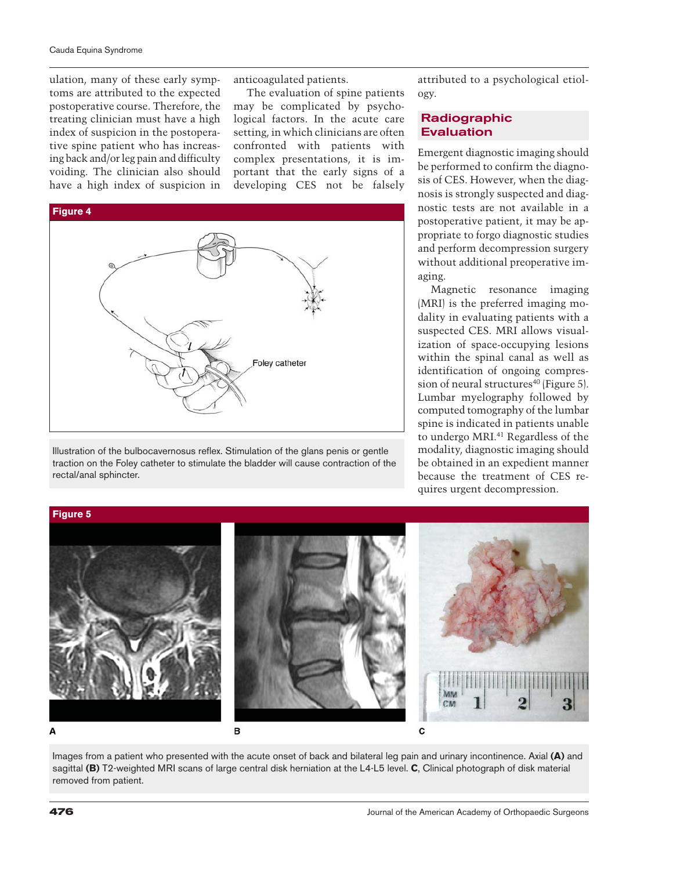ulation, many of these early symptoms are attributed to the expected postoperative course. Therefore, the treating clinician must have a high index of suspicion in the postoperative spine patient who has increasing back and/or leg pain and difficulty voiding. The clinician also should have a high index of suspicion in

anticoagulated patients.

The evaluation of spine patients may be complicated by psychological factors. In the acute care setting, in which clinicians are often confronted with patients with complex presentations, it is important that the early signs of a developing CES not be falsely



Illustration of the bulbocavernosus reflex. Stimulation of the glans penis or gentle traction on the Foley catheter to stimulate the bladder will cause contraction of the rectal/anal sphincter.

attributed to a psychological etiology.

## **Radiographic Evaluation**

Emergent diagnostic imaging should be performed to confirm the diagnosis of CES. However, when the diagnosis is strongly suspected and diagnostic tests are not available in a postoperative patient, it may be appropriate to forgo diagnostic studies and perform decompression surgery without additional preoperative imaging.

Magnetic resonance imaging (MRI) is the preferred imaging modality in evaluating patients with a suspected CES. MRI allows visualization of space-occupying lesions within the spinal canal as well as identification of ongoing compression of neural structures<sup>40</sup> (Figure 5). Lumbar myelography followed by computed tomography of the lumbar spine is indicated in patients unable to undergo MRI.<sup>41</sup> Regardless of the modality, diagnostic imaging should be obtained in an expedient manner because the treatment of CES requires urgent decompression.

# MM 3 CM B  $\mathbf{c}$ Δ

Images from a patient who presented with the acute onset of back and bilateral leg pain and urinary incontinence. Axial **(A)** and sagittal **(B)** T2-weighted MRI scans of large central disk herniation at the L4-L5 level. **C**, Clinical photograph of disk material removed from patient.

**Figure 5**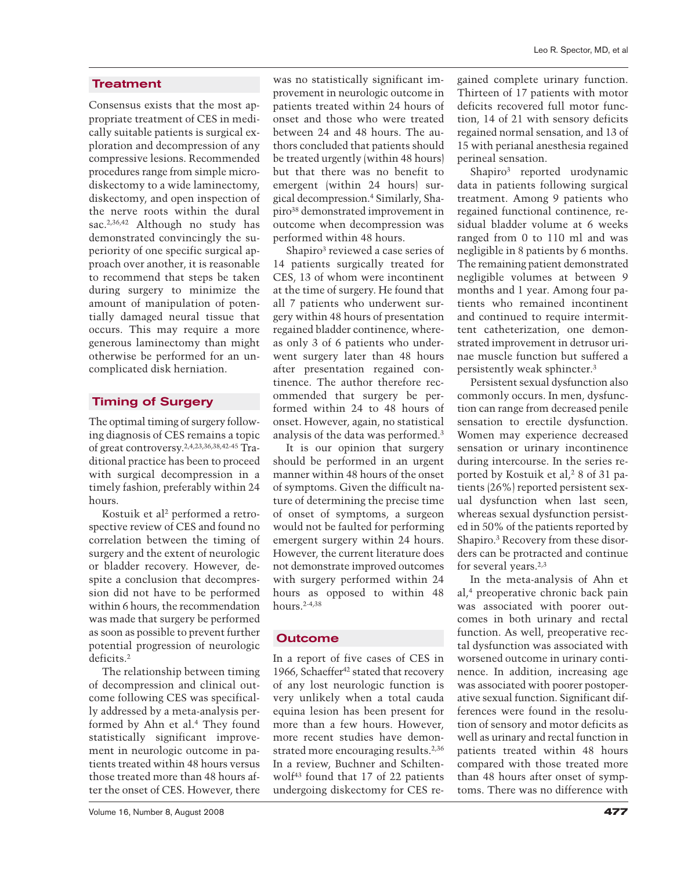## **Treatment**

Consensus exists that the most appropriate treatment of CES in medically suitable patients is surgical exploration and decompression of any compressive lesions. Recommended procedures range from simple microdiskectomy to a wide laminectomy, diskectomy, and open inspection of the nerve roots within the dural sac.2,36,42 Although no study has demonstrated convincingly the superiority of one specific surgical approach over another, it is reasonable to recommend that steps be taken during surgery to minimize the amount of manipulation of potentially damaged neural tissue that occurs. This may require a more generous laminectomy than might otherwise be performed for an uncomplicated disk herniation.

## **Timing of Surgery**

The optimal timing of surgery following diagnosis of CES remains a topic of great controversy.2,4,23,36,38,42-45 Traditional practice has been to proceed with surgical decompression in a timely fashion, preferably within 24 hours.

Kostuik et al<sup>2</sup> performed a retrospective review of CES and found no correlation between the timing of surgery and the extent of neurologic or bladder recovery. However, despite a conclusion that decompression did not have to be performed within 6 hours, the recommendation was made that surgery be performed as soon as possible to prevent further potential progression of neurologic deficits.2

The relationship between timing of decompression and clinical outcome following CES was specifically addressed by a meta-analysis performed by Ahn et al.4 They found statistically significant improvement in neurologic outcome in patients treated within 48 hours versus those treated more than 48 hours after the onset of CES. However, there

was no statistically significant improvement in neurologic outcome in patients treated within 24 hours of onset and those who were treated between 24 and 48 hours. The authors concluded that patients should be treated urgently (within 48 hours) but that there was no benefit to emergent (within 24 hours) surgical decompression.4 Similarly, Shapiro38 demonstrated improvement in outcome when decompression was performed within 48 hours.

Shapiro<sup>3</sup> reviewed a case series of 14 patients surgically treated for CES, 13 of whom were incontinent at the time of surgery. He found that all 7 patients who underwent surgery within 48 hours of presentation regained bladder continence, whereas only 3 of 6 patients who underwent surgery later than 48 hours after presentation regained continence. The author therefore recommended that surgery be performed within 24 to 48 hours of onset. However, again, no statistical analysis of the data was performed.3

It is our opinion that surgery should be performed in an urgent manner within 48 hours of the onset of symptoms. Given the difficult nature of determining the precise time of onset of symptoms, a surgeon would not be faulted for performing emergent surgery within 24 hours. However, the current literature does not demonstrate improved outcomes with surgery performed within 24 hours as opposed to within 48 hours.2-4,38

## **Outcome**

In a report of five cases of CES in 1966, Schaeffer<sup>42</sup> stated that recovery of any lost neurologic function is very unlikely when a total cauda equina lesion has been present for more than a few hours. However, more recent studies have demonstrated more encouraging results.<sup>2,36</sup> In a review, Buchner and Schiltenwolf43 found that 17 of 22 patients undergoing diskectomy for CES regained complete urinary function. Thirteen of 17 patients with motor deficits recovered full motor function, 14 of 21 with sensory deficits regained normal sensation, and 13 of 15 with perianal anesthesia regained perineal sensation.

Shapiro3 reported urodynamic data in patients following surgical treatment. Among 9 patients who regained functional continence, residual bladder volume at 6 weeks ranged from 0 to 110 ml and was negligible in 8 patients by 6 months. The remaining patient demonstrated negligible volumes at between 9 months and 1 year. Among four patients who remained incontinent and continued to require intermittent catheterization, one demonstrated improvement in detrusor urinae muscle function but suffered a persistently weak sphincter.3

Persistent sexual dysfunction also commonly occurs. In men, dysfunction can range from decreased penile sensation to erectile dysfunction. Women may experience decreased sensation or urinary incontinence during intercourse. In the series reported by Kostuik et al,<sup>2</sup> 8 of 31 patients (26%) reported persistent sexual dysfunction when last seen, whereas sexual dysfunction persisted in 50% of the patients reported by Shapiro.3 Recovery from these disorders can be protracted and continue for several years.2,3

In the meta-analysis of Ahn et al,4 preoperative chronic back pain was associated with poorer outcomes in both urinary and rectal function. As well, preoperative rectal dysfunction was associated with worsened outcome in urinary continence. In addition, increasing age was associated with poorer postoperative sexual function. Significant differences were found in the resolution of sensory and motor deficits as well as urinary and rectal function in patients treated within 48 hours compared with those treated more than 48 hours after onset of symptoms. There was no difference with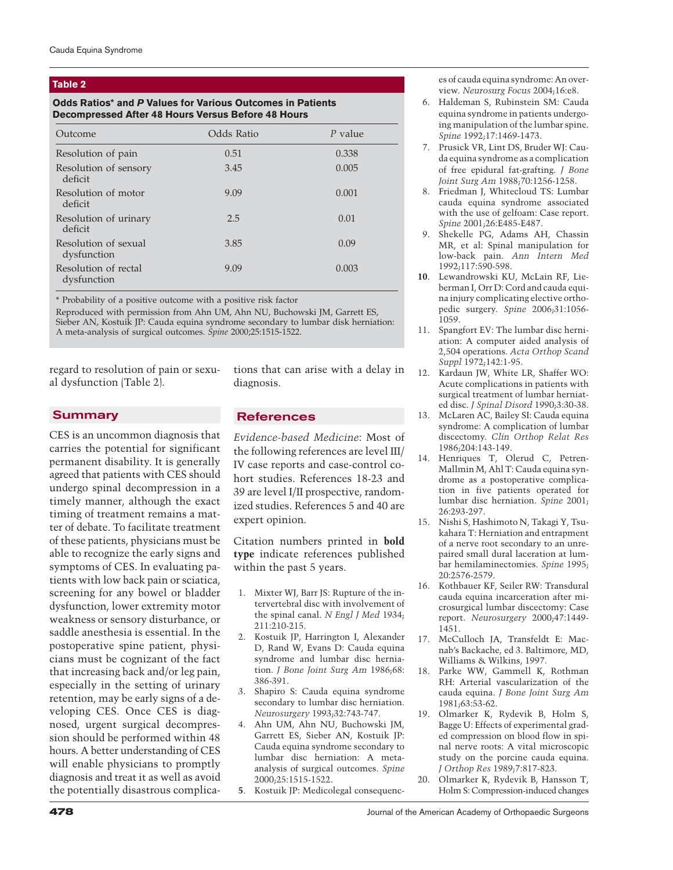#### **Table 2**

## **Odds Ratios\* and** *P* **Values for Various Outcomes in Patients Decompressed After 48 Hours Versus Before 48 Hours**

| Outcome                             | Odds Ratio | P value |
|-------------------------------------|------------|---------|
| Resolution of pain                  | 0.51       | 0.338   |
| Resolution of sensory<br>deficit    | 3.45       | 0.005   |
| Resolution of motor<br>deficit      | 9.09       | 0.001   |
| Resolution of urinary<br>deficit    | 2.5        | 0.01    |
| Resolution of sexual<br>dysfunction | 3.85       | 0.09    |
| Resolution of rectal<br>dysfunction | 9.09       | 0.003   |

\* Probability of a positive outcome with a positive risk factor

Reproduced with permission from Ahn UM, Ahn NU, Buchowski JM, Garrett ES, Sieber AN, Kostuik JP: Cauda equina syndrome secondary to lumbar disk herniation: A meta-analysis of surgical outcomes. *Spine* 2000;25:1515-1522.

regard to resolution of pain or sexual dysfunction (Table 2).

### **Summary**

CES is an uncommon diagnosis that carries the potential for significant permanent disability. It is generally agreed that patients with CES should undergo spinal decompression in a timely manner, although the exact timing of treatment remains a matter of debate. To facilitate treatment of these patients, physicians must be able to recognize the early signs and symptoms of CES. In evaluating patients with low back pain or sciatica, screening for any bowel or bladder dysfunction, lower extremity motor weakness or sensory disturbance, or saddle anesthesia is essential. In the postoperative spine patient, physicians must be cognizant of the fact that increasing back and/or leg pain, especially in the setting of urinary retention, may be early signs of a developing CES. Once CES is diagnosed, urgent surgical decompression should be performed within 48 hours. A better understanding of CES will enable physicians to promptly diagnosis and treat it as well as avoid the potentially disastrous complications that can arise with a delay in diagnosis.

## **References**

*Evidence-based Medicine*: Most of the following references are level III/ IV case reports and case-control cohort studies. References 18-23 and 39 are level I/II prospective, randomized studies. References 5 and 40 are expert opinion.

Citation numbers printed in **bold type** indicate references published within the past 5 years.

- 1. Mixter WJ, Barr JS: Rupture of the intervertebral disc with involvement of the spinal canal. *N Engl J Med* 1934; 211:210-215.
- 2. Kostuik JP, Harrington I, Alexander D, Rand W, Evans D: Cauda equina syndrome and lumbar disc herniation. *J Bone Joint Surg Am* 1986;68: 386-391.
- 3. Shapiro S: Cauda equina syndrome secondary to lumbar disc herniation. *Neurosurgery* 1993;32:743-747.
- 4. Ahn UM, Ahn NU, Buchowski JM, Garrett ES, Sieber AN, Kostuik JP: Cauda equina syndrome secondary to lumbar disc herniation: A metaanalysis of surgical outcomes. *Spine* 2000;25:1515-1522.
- **5**. Kostuik JP: Medicolegal consequenc-

es of cauda equina syndrome: An overview. *Neurosurg Focus* 2004;16:e8.

- 6. Haldeman S, Rubinstein SM: Cauda equina syndrome in patients undergoing manipulation of the lumbar spine. *Spine* 1992;17:1469-1473.
- 7. Prusick VR, Lint DS, Bruder WJ: Cauda equina syndrome as a complication of free epidural fat-grafting. *J Bone Joint Surg Am* 1988;70:1256-1258.
- 8. Friedman J, Whitecloud TS: Lumbar cauda equina syndrome associated with the use of gelfoam: Case report. *Spine* 2001;26:E485-E487.
- 9. Shekelle PG, Adams AH, Chassin MR, et al: Spinal manipulation for low-back pain. *Ann Intern Med* 1992;117:590-598.
- **10**. Lewandrowski KU, McLain RF, Lieberman I, Orr D: Cord and cauda equina injury complicating elective orthopedic surgery. *Spine* 2006;31:1056- 1059.
- 11. Spangfort EV: The lumbar disc herniation: A computer aided analysis of 2,504 operations. *Acta Orthop Scand Suppl* 1972;142:1-95.
- 12. Kardaun JW, White LR, Shaffer WO: Acute complications in patients with surgical treatment of lumbar herniated disc. *J Spinal Disord* 1990;3:30-38.
- 13. McLaren AC, Bailey SI: Cauda equina syndrome: A complication of lumbar discectomy. *Clin Orthop Relat Res* 1986;204:143-149.
- 14. Henriques T, Olerud C, Petren-Mallmin M, Ahl T: Cauda equina syndrome as a postoperative complication in five patients operated for lumbar disc herniation. *Spine* 2001; 26:293-297.
- 15. Nishi S, Hashimoto N, Takagi Y, Tsukahara T: Herniation and entrapment of a nerve root secondary to an unrepaired small dural laceration at lumbar hemilaminectomies. *Spine* 1995; 20:2576-2579.
- 16. Kothbauer KF, Seiler RW: Transdural cauda equina incarceration after microsurgical lumbar discectomy: Case report. *Neurosurgery* 2000;47:1449- 1451.
- 17. McCulloch JA, Transfeldt E: Macnab's Backache, ed 3. Baltimore, MD, Williams & Wilkins, 1997.
- 18. Parke WW, Gammell K, Rothman RH: Arterial vascularization of the cauda equina. *J Bone Joint Surg Am* 1981;63:53-62.
- 19. Olmarker K, Rydevik B, Holm S, Bagge U: Effects of experimental graded compression on blood flow in spinal nerve roots: A vital microscopic study on the porcine cauda equina. *J Orthop Res* 1989;7:817-823.
- 20. Olmarker K, Rydevik B, Hansson T, Holm S: Compression-induced changes